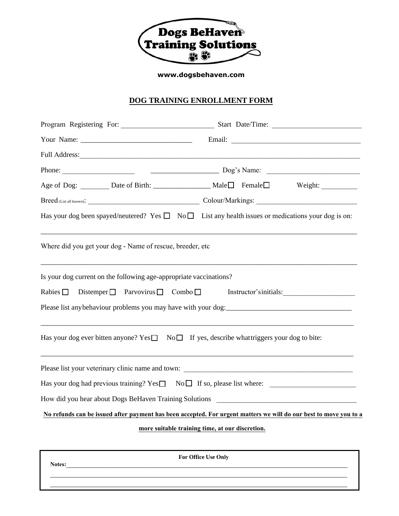

**www.dogsbehaven.com**

## **DOG TRAINING ENROLLMENT FORM**

|                                                                                                                                                                                                                                                                                                                                      | Age of Dog: _________ Date of Birth: __________________ Male□ Female□ Weight: __________                          |
|--------------------------------------------------------------------------------------------------------------------------------------------------------------------------------------------------------------------------------------------------------------------------------------------------------------------------------------|-------------------------------------------------------------------------------------------------------------------|
|                                                                                                                                                                                                                                                                                                                                      |                                                                                                                   |
| Has your dog been spayed/neutered? Yes $\Box$ No $\Box$ List any health issues or medications your dog is on:                                                                                                                                                                                                                        |                                                                                                                   |
| Where did you get your dog - Name of rescue, breeder, etc                                                                                                                                                                                                                                                                            |                                                                                                                   |
| Is your dog current on the following age-appropriate vaccinations?<br>Rabies D Distemper Parvovirus D Combo D Instructor'sinitials:<br>Please list any behaviour problems you may have with your dog:<br><u>experience</u><br>Has your dog ever bitten anyone? Yes $\Box$ No $\Box$ If yes, describe what triggers your dog to bite: |                                                                                                                   |
|                                                                                                                                                                                                                                                                                                                                      |                                                                                                                   |
|                                                                                                                                                                                                                                                                                                                                      |                                                                                                                   |
|                                                                                                                                                                                                                                                                                                                                      |                                                                                                                   |
|                                                                                                                                                                                                                                                                                                                                      | No refunds can be issued after payment has been accepted. For urgent matters we will do our best to move you to a |
|                                                                                                                                                                                                                                                                                                                                      | more suitable training time, at our discretion.                                                                   |
| Notes:                                                                                                                                                                                                                                                                                                                               | For Office Use Only                                                                                               |
|                                                                                                                                                                                                                                                                                                                                      |                                                                                                                   |